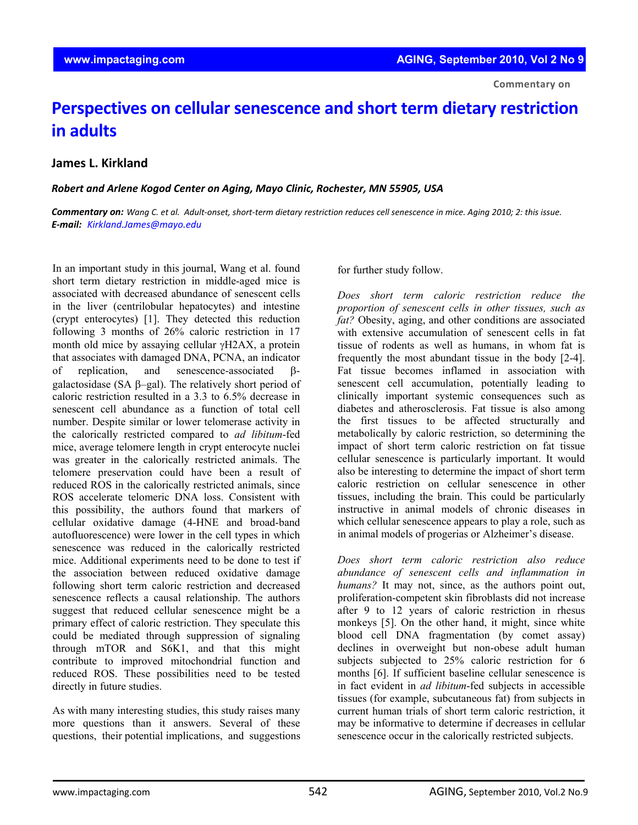## **Perspectives on cellular senescence and short term dietary restriction in adults**

## **James L. Kirkland**

*Robert and Arlene Kogod Center on Aging, Mayo Clinic, Rochester, MN 55905, USA*

Commentary on: Wang C. et al. Adult-onset, short-term dietary restriction reduces cell senescence in mice. Aging 2010; 2: this issue. *E‐mail: Kirkland.James@mayo.edu*

In an important study in this journal, Wang et al. found short term dietary restriction in middle-aged mice is associated with decreased abundance of senescent cells in the liver (centrilobular hepatocytes) and intestine (crypt enterocytes) [1]. They detected this reduction following 3 months of 26% caloric restriction in 17 month old mice by assaying cellular γH2AX, a protein that associates with damaged DNA, PCNA, an indicator of replication, and senescence-associated βgalactosidase (SA β–gal). The relatively short period of caloric restriction resulted in a 3.3 to 6.5% decrease in senescent cell abundance as a function of total cell number. Despite similar or lower telomerase activity in the calorically restricted compared to *ad libitum*-fed mice, average telomere length in crypt enterocyte nuclei was greater in the calorically restricted animals. The telomere preservation could have been a result of reduced ROS in the calorically restricted animals, since ROS accelerate telomeric DNA loss. Consistent with this possibility, the authors found that markers of cellular oxidative damage (4-HNE and broad-band autofluorescence) were lower in the cell types in which senescence was reduced in the calorically restricted mice. Additional experiments need to be done to test if the association between reduced oxidative damage following short term caloric restriction and decreased senescence reflects a causal relationship. The authors suggest that reduced cellular senescence might be a primary effect of caloric restriction. They speculate this could be mediated through suppression of signaling through mTOR and S6K1, and that this might contribute to improved mitochondrial function and reduced ROS. These possibilities need to be tested directly in future studies.

As with many interesting studies, this study raises many more questions than it answers. Several of these questions, their potential implications, and suggestions

for further study follow.

*Does short term caloric restriction reduce the proportion of senescent cells in other tissues, such as fat?* Obesity, aging, and other conditions are associated with extensive accumulation of senescent cells in fat tissue of rodents as well as humans, in whom fat is frequently the most abundant tissue in the body [2-4]. Fat tissue becomes inflamed in association with senescent cell accumulation, potentially leading to clinically important systemic consequences such as diabetes and atherosclerosis. Fat tissue is also among the first tissues to be affected structurally and metabolically by caloric restriction, so determining the impact of short term caloric restriction on fat tissue cellular senescence is particularly important. It would also be interesting to determine the impact of short term caloric restriction on cellular senescence in other tissues, including the brain. This could be particularly instructive in animal models of chronic diseases in which cellular senescence appears to play a role, such as in animal models of progerias or Alzheimer's disease.

*Does short term caloric restriction also reduce abundance of senescent cells and inflammation in humans?* It may not, since, as the authors point out, proliferation-competent skin fibroblasts did not increase after 9 to 12 years of caloric restriction in rhesus monkeys [5]. On the other hand, it might, since white blood cell DNA fragmentation (by comet assay) declines in overweight but non-obese adult human subjects subjected to 25% caloric restriction for 6 months [6]. If sufficient baseline cellular senescence is in fact evident in *ad libitum*-fed subjects in accessible tissues (for example, subcutaneous fat) from subjects in current human trials of short term caloric restriction, it may be informative to determine if decreases in cellular senescence occur in the calorically restricted subjects.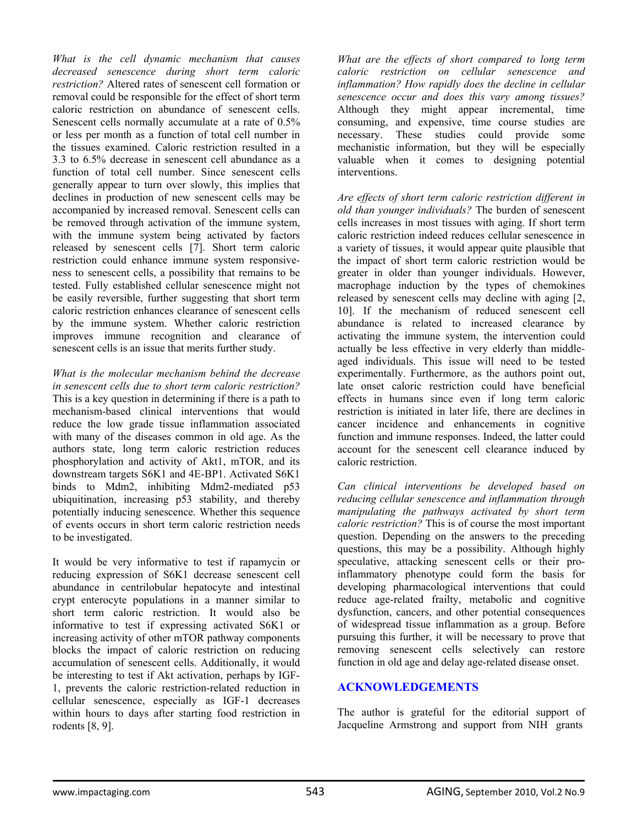*What is the cell dynamic mechanism that causes decreased senescence during short term caloric restriction?* Altered rates of senescent cell formation or removal could be responsible for the effect of short term caloric restriction on abundance of senescent cells. Senescent cells normally accumulate at a rate of 0.5% or less per month as a function of total cell number in the tissues examined. Caloric restriction resulted in a 3.3 to 6.5% decrease in senescent cell abundance as a function of total cell number. Since senescent cells generally appear to turn over slowly, this implies that declines in production of new senescent cells may be accompanied by increased removal. Senescent cells can be removed through activation of the immune system, with the immune system being activated by factors released by senescent cells [7]. Short term caloric restriction could enhance immune system responsiveness to senescent cells, a possibility that remains to be tested. Fully established cellular senescence might not be easily reversible, further suggesting that short term caloric restriction enhances clearance of senescent cells by the immune system. Whether caloric restriction improves immune recognition and clearance of senescent cells is an issue that merits further study.

*What is the molecular mechanism behind the decrease in senescent cells due to short term caloric restriction?* This is a key question in determining if there is a path to mechanism-based clinical interventions that would reduce the low grade tissue inflammation associated with many of the diseases common in old age. As the authors state, long term caloric restriction reduces phosphorylation and activity of Akt1, mTOR, and its downstream targets S6K1 and 4E-BP1. Activated S6K1 binds to Mdm2, inhibiting Mdm2-mediated p53 ubiquitination, increasing p53 stability, and thereby potentially inducing senescence. Whether this sequence of events occurs in short term caloric restriction needs to be investigated.

It would be very informative to test if rapamycin or reducing expression of S6K1 decrease senescent cell abundance in centrilobular hepatocyte and intestinal crypt enterocyte populations in a manner similar to short term caloric restriction. It would also be informative to test if expressing activated S6K1 or increasing activity of other mTOR pathway components blocks the impact of caloric restriction on reducing accumulation of senescent cells. Additionally, it would be interesting to test if Akt activation, perhaps by IGF-1, prevents the caloric restriction-related reduction in cellular senescence, especially as IGF-1 decreases within hours to days after starting food restriction in rodents [8, 9].

*What are the effects of short compared to long term caloric restriction on cellular senescence and inflammation? How rapidly does the decline in cellular senescence occur and does this vary among tissues?* Although they might appear incremental, time consuming, and expensive, time course studies are necessary. These studies could provide some mechanistic information, but they will be especially valuable when it comes to designing potential interventions.

*Are effects of short term caloric restriction different in old than younger individuals?* The burden of senescent cells increases in most tissues with aging. If short term caloric restriction indeed reduces cellular senescence in a variety of tissues, it would appear quite plausible that the impact of short term caloric restriction would be greater in older than younger individuals. However, macrophage induction by the types of chemokines released by senescent cells may decline with aging [2, 10]. If the mechanism of reduced senescent cell abundance is related to increased clearance by activating the immune system, the intervention could actually be less effective in very elderly than middleaged individuals. This issue will need to be tested experimentally. Furthermore, as the authors point out, late onset caloric restriction could have beneficial effects in humans since even if long term caloric restriction is initiated in later life, there are declines in cancer incidence and enhancements in cognitive function and immune responses. Indeed, the latter could account for the senescent cell clearance induced by caloric restriction.

*Can clinical interventions be developed based on reducing cellular senescence and inflammation through manipulating the pathways activated by short term caloric restriction?* This is of course the most important question. Depending on the answers to the preceding questions, this may be a possibility. Although highly speculative, attacking senescent cells or their proinflammatory phenotype could form the basis for developing pharmacological interventions that could reduce age-related frailty, metabolic and cognitive dysfunction, cancers, and other potential consequences of widespread tissue inflammation as a group. Before pursuing this further, it will be necessary to prove that removing senescent cells selectively can restore function in old age and delay age-related disease onset.

## **ACKNOWLEDGEMENTS**

The author is grateful for the editorial support of Jacqueline Armstrong and support from NIH grants